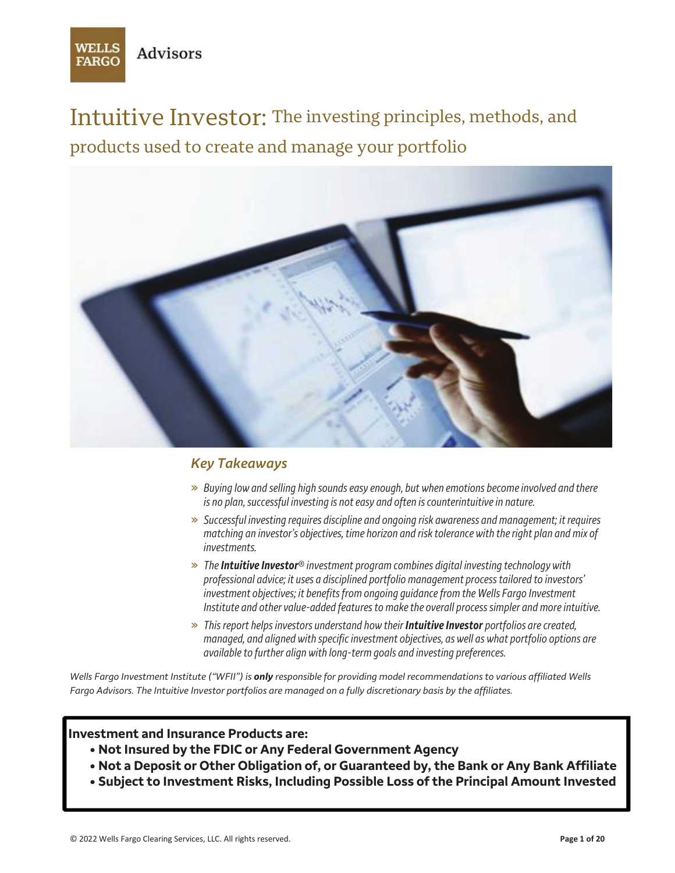

Intuitive Investor: The investing principles, methods, and products used to create and manage your portfolio



## *Key Takeaways*

- » *Buying low and selling high sounds easy enough, but when emotions become involved and there is no plan, successful investing is not easy and often is counterintuitive in nature.*
- » *Successful investing requires discipline and ongoing risk awareness and management; it requires matching an investor's objectives, time horizon and risk tolerance with the right plan and mix of investments.*
- » *The Intuitive Investor***®** *investment program combines digital investing technology with professional advice; it uses a disciplined portfolio management process tailored to investors' investment objectives; it benefits from ongoing guidance from the Wells Fargo Investment Institute and other value-added features to make the overall process simpler and more intuitive.*
- » *This report helps investors understand how their Intuitive Investor portfolios are created, managed, and aligned with specific investment objectives, as well as what portfolio options are available to further align with long-term goals and investing preferences.*

*Wells Fargo Investment Institute ("WFII") is only responsible for providing model recommendations to various affiliated Wells Fargo Advisors. The Intuitive Investor portfolios are managed on a fully discretionary basis by the affiliates.* 

#### **Investment and Insurance Products are:**

- **• Not Insured by the FDIC or Any Federal Government Agency**
- **• Not a Deposit or Other Obligation of, or Guaranteed by, the Bank or Any Bank Affiliate**
- **• Subject to Investment Risks, Including Possible Loss of the Principal Amount Invested**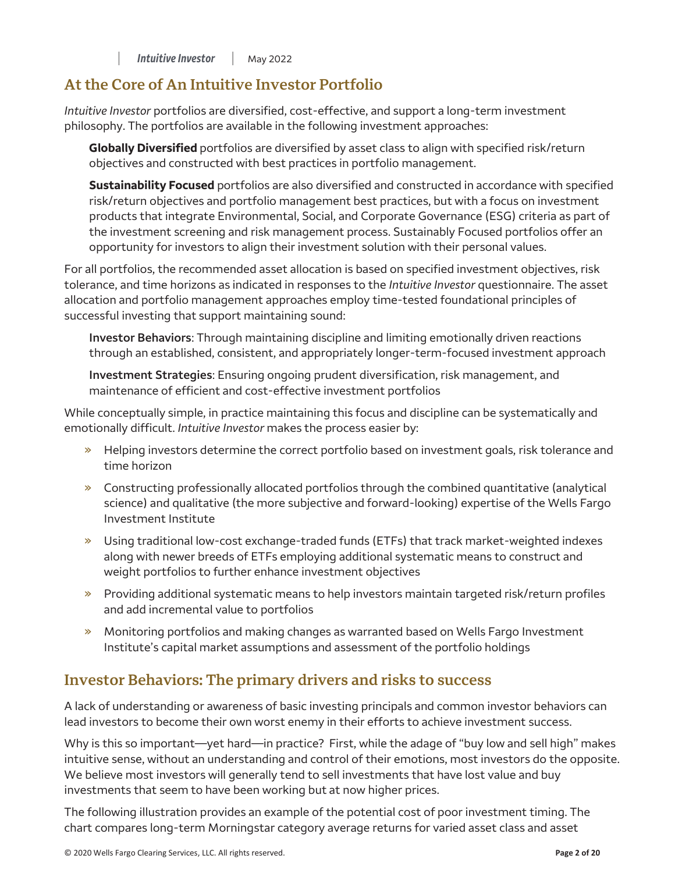## **At the Core of An Intuitive Investor Portfolio**

*Intuitive Investor* portfolios are diversified, cost-effective, and support a long-term investment philosophy. The portfolios are available in the following investment approaches:

**Globally Diversified** portfolios are diversified by asset class to align with specified risk/return objectives and constructed with best practices in portfolio management.

**Sustainability Focused** portfolios are also diversified and constructed in accordance with specified risk/return objectives and portfolio management best practices, but with a focus on investment products that integrate Environmental, Social, and Corporate Governance (ESG) criteria as part of the investment screening and risk management process. Sustainably Focused portfolios offer an opportunity for investors to align their investment solution with their personal values.

For all portfolios, the recommended asset allocation is based on specified investment objectives, risk tolerance, and time horizons as indicated in responses to the *Intuitive Investor* questionnaire. The asset allocation and portfolio management approaches employ time-tested foundational principles of successful investing that support maintaining sound:

**Investor Behaviors**: Through maintaining discipline and limiting emotionally driven reactions through an established, consistent, and appropriately longer-term-focused investment approach

**Investment Strategies**: Ensuring ongoing prudent diversification, risk management, and maintenance of efficient and cost-effective investment portfolios

While conceptually simple, in practice maintaining this focus and discipline can be systematically and emotionally difficult. *Intuitive Investor* makes the process easier by:

- » Helping investors determine the correct portfolio based on investment goals, risk tolerance and time horizon
- » Constructing professionally allocated portfolios through the combined quantitative (analytical science) and qualitative (the more subjective and forward-looking) expertise of the Wells Fargo Investment Institute
- » Using traditional low-cost exchange-traded funds (ETFs) that track market-weighted indexes along with newer breeds of ETFs employing additional systematic means to construct and weight portfolios to further enhance investment objectives
- » Providing additional systematic means to help investors maintain targeted risk/return profiles and add incremental value to portfolios
- » Monitoring portfolios and making changes as warranted based on Wells Fargo Investment Institute's capital market assumptions and assessment of the portfolio holdings

## **Investor Behaviors: The primary drivers and risks to success**

A lack of understanding or awareness of basic investing principals and common investor behaviors can lead investors to become their own worst enemy in their efforts to achieve investment success.

Why is this so important—yet hard—in practice? First, while the adage of "buy low and sell high" makes intuitive sense, without an understanding and control of their emotions, most investors do the opposite. We believe most investors will generally tend to sell investments that have lost value and buy investments that seem to have been working but at now higher prices.

The following illustration provides an example of the potential cost of poor investment timing. The chart compares long-term Morningstar category average returns for varied asset class and asset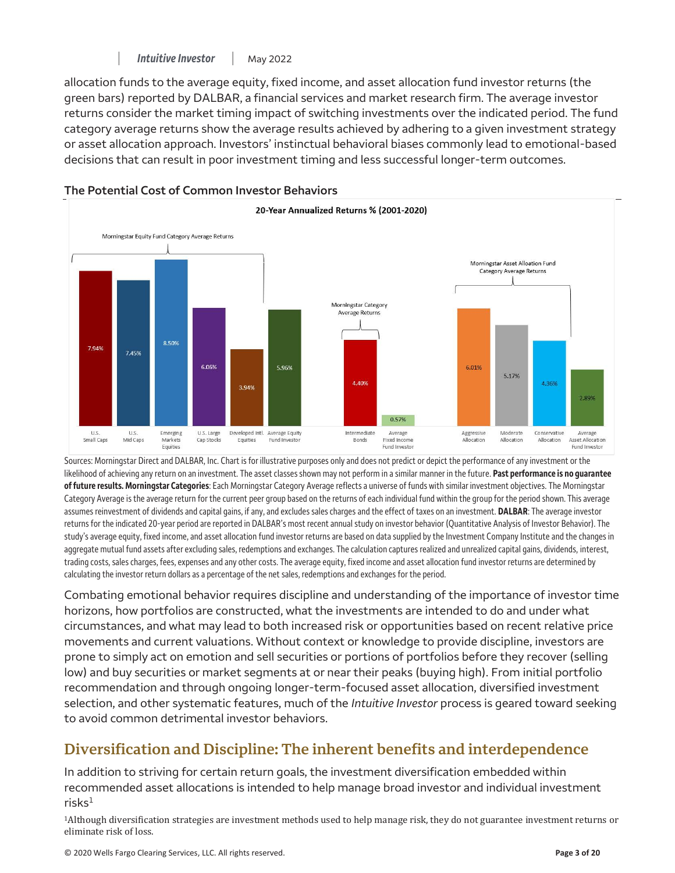allocation funds to the average equity, fixed income, and asset allocation fund investor returns (the green bars) reported by DALBAR, a financial services and market research firm. The average investor returns consider the market timing impact of switching investments over the indicated period. The fund category average returns show the average results achieved by adhering to a given investment strategy or asset allocation approach. Investors' instinctual behavioral biases commonly lead to emotional-based decisions that can result in poor investment timing and less successful longer-term outcomes.



#### **The Potential Cost of Common Investor Behaviors**

Sources: Morningstar Direct and DALBAR, Inc. Chart is for illustrative purposes only and does not predict or depict the performance of any investment or the likelihood of achieving any return on an investment. The asset classes shown may not perform in a similar manner in the future. **Past performance is no guarantee of future results. Morningstar Categories**: Each Morningstar Category Average reflects a universe of funds with similar investment objectives. The Morningstar Category Average is the average return for the current peer group based on the returns of each individual fund within the group for the period shown. This average assumes reinvestment of dividends and capital gains, if any, and excludes sales charges and the effect of taxes on an investment. **DALBAR**: The average investor returns for the indicated 20-year period are reported in DALBAR's most recent annual study on investor behavior (Quantitative Analysis of Investor Behavior). The study's average equity, fixed income, and asset allocation fund investor returns are based on data supplied by the Investment Company Institute and the changes in aggregate mutual fund assets after excluding sales, redemptions and exchanges. The calculation captures realized and unrealized capital gains, dividends, interest, trading costs, sales charges, fees, expenses and any other costs. The average equity, fixed income and asset allocation fund investor returns are determined by calculating the investor return dollars as a percentage of the net sales, redemptions and exchanges for the period.

Combating emotional behavior requires discipline and understanding of the importance of investor time horizons, how portfolios are constructed, what the investments are intended to do and under what circumstances, and what may lead to both increased risk or opportunities based on recent relative price movements and current valuations. Without context or knowledge to provide discipline, investors are prone to simply act on emotion and sell securities or portions of portfolios before they recover (selling low) and buy securities or market segments at or near their peaks (buying high). From initial portfolio recommendation and through ongoing longer-term-focused asset allocation, diversified investment selection, and other systematic features, much of the *Intuitive Investor* process is geared toward seeking to avoid common detrimental investor behaviors.

# **Diversification and Discipline: The inherent benefits and interdependence**

risk $\mathsf{s}^1$ In addition to striving for certain return goals, the investment diversification embedded within recommended asset allocations is intended to help manage broad investor and individual investment

1Although diversification strategies are investment methods used to help manage risk, they do not guarantee investment returns or eliminate risk of loss.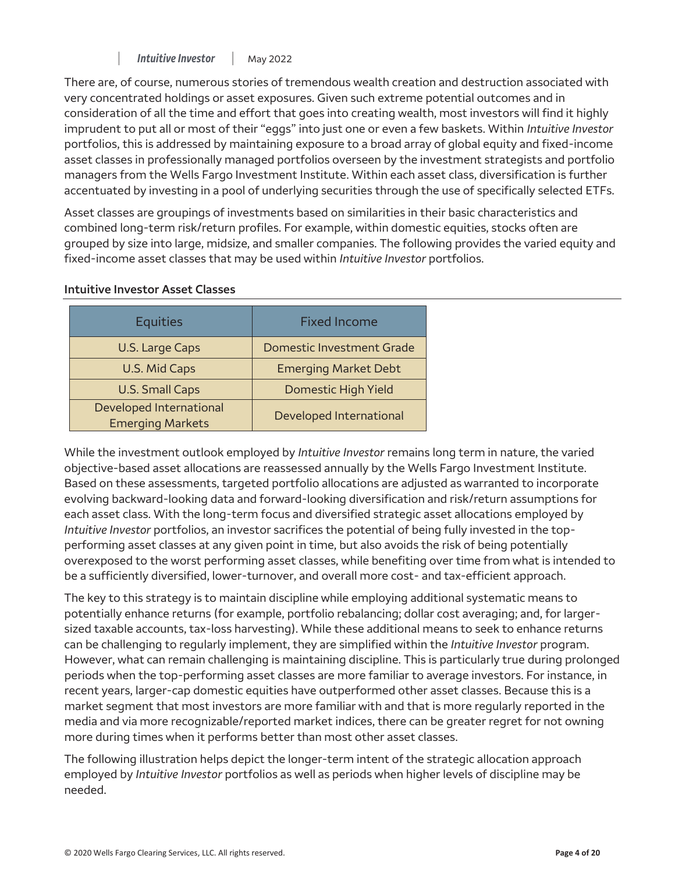There are, of course, numerous stories of tremendous wealth creation and destruction associated with very concentrated holdings or asset exposures. Given such extreme potential outcomes and in consideration of all the time and effort that goes into creating wealth, most investors will find it highly imprudent to put all or most of their "eggs" into just one or even a few baskets. Within *Intuitive Investor*  portfolios, this is addressed by maintaining exposure to a broad array of global equity and fixed-income asset classes in professionally managed portfolios overseen by the investment strategists and portfolio managers from the Wells Fargo Investment Institute. Within each asset class, diversification is further accentuated by investing in a pool of underlying securities through the use of specifically selected ETFs.

Asset classes are groupings of investments based on similarities in their basic characteristics and combined long-term risk/return profiles. For example, within domestic equities, stocks often are grouped by size into large, midsize, and smaller companies. The following provides the varied equity and fixed-income asset classes that may be used within *Intuitive Investor* portfolios.

| <b>Equities</b>                                    | <b>Fixed Income</b>              |
|----------------------------------------------------|----------------------------------|
| U.S. Large Caps                                    | <b>Domestic Investment Grade</b> |
| U.S. Mid Caps                                      | <b>Emerging Market Debt</b>      |
| <b>U.S. Small Caps</b>                             | Domestic High Yield              |
| Developed International<br><b>Emerging Markets</b> | Developed International          |

#### **Intuitive Investor Asset Classes**

While the investment outlook employed by *Intuitive Investor* remains long term in nature, the varied objective-based asset allocations are reassessed annually by the Wells Fargo Investment Institute. Based on these assessments, targeted portfolio allocations are adjusted as warranted to incorporate evolving backward-looking data and forward-looking diversification and risk/return assumptions for each asset class. With the long-term focus and diversified strategic asset allocations employed by *Intuitive Investor* portfolios, an investor sacrifices the potential of being fully invested in the topperforming asset classes at any given point in time, but also avoids the risk of being potentially overexposed to the worst performing asset classes, while benefiting over time from what is intended to be a sufficiently diversified, lower-turnover, and overall more cost- and tax-efficient approach.

The key to this strategy is to maintain discipline while employing additional systematic means to potentially enhance returns (for example, portfolio rebalancing; dollar cost averaging; and, for largersized taxable accounts, tax-loss harvesting). While these additional means to seek to enhance returns can be challenging to regularly implement, they are simplified within the *Intuitive Investor* program. However, what can remain challenging is maintaining discipline. This is particularly true during prolonged periods when the top-performing asset classes are more familiar to average investors. For instance, in recent years, larger-cap domestic equities have outperformed other asset classes. Because this is a market segment that most investors are more familiar with and that is more regularly reported in the media and via more recognizable/reported market indices, there can be greater regret for not owning more during times when it performs better than most other asset classes.

The following illustration helps depict the longer-term intent of the strategic allocation approach employed by *Intuitive Investor* portfolios as well as periods when higher levels of discipline may be needed.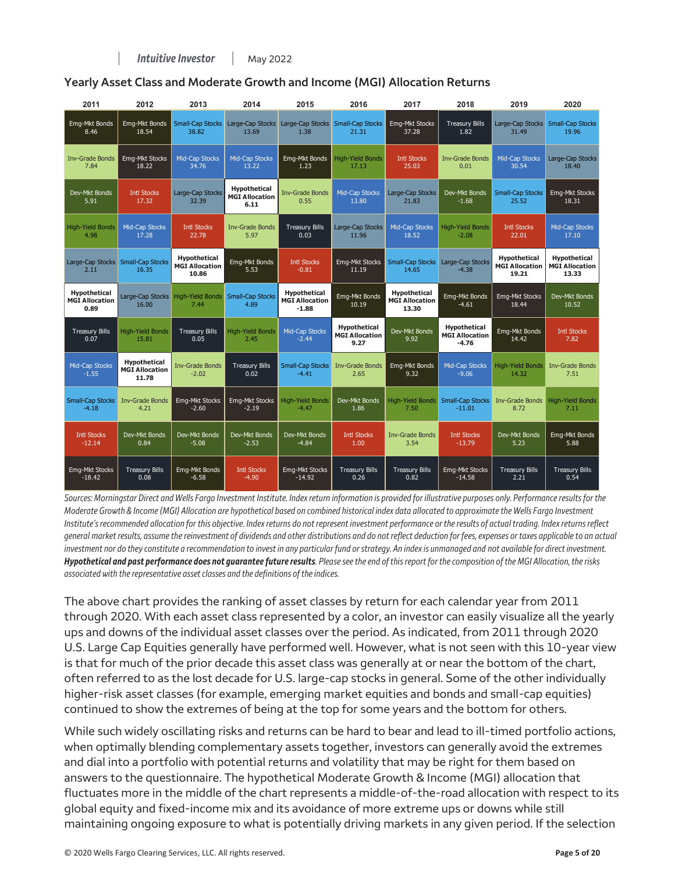| 2011                                          | 2012                                                  | 2013                                           | 2014                                          | 2015                                             | 2016                                          | 2017                                                  | 2018                                                    | 2019                                                  | 2020                                                  |
|-----------------------------------------------|-------------------------------------------------------|------------------------------------------------|-----------------------------------------------|--------------------------------------------------|-----------------------------------------------|-------------------------------------------------------|---------------------------------------------------------|-------------------------------------------------------|-------------------------------------------------------|
| Emg-Mkt Bonds                                 | Emg-Mkt Bonds                                         | <b>Small-Cap Stocks</b>                        | Large-Cap Stocks                              | Large-Cap Stocks                                 | <b>Small-Cap Stocks</b>                       | Emg-Mkt Stocks                                        | <b>Treasury Bills</b>                                   | Large-Cap Stocks                                      | <b>Small-Cap Stocks</b>                               |
| 8.46                                          | 18.54                                                 | 38.82                                          | 13.69                                         | 1.38                                             | 21.31                                         | 37.28                                                 | 1.82                                                    | 31.49                                                 | 19.96                                                 |
| <b>Inv-Grade Bonds</b>                        | <b>Emg-Mkt Stocks</b>                                 | Mid-Cap Stocks                                 | Mid-Cap Stocks                                | Emg-Mkt Bonds                                    | <b>High-Yield Bonds</b>                       | <b>Intl Stocks</b>                                    | <b>Inv-Grade Bonds</b>                                  | Mid-Cap Stocks                                        | Large-Cap Stocks                                      |
| 7.84                                          | 18.22                                                 | 34.76                                          | 13.22                                         | 1.23                                             | 17.13                                         | 25.03                                                 | 0.01                                                    | 30.54                                                 | 18.40                                                 |
| Dev-Mkt Bonds<br>5.91                         | <b>Intl Stocks</b><br>17.32                           | Large-Cap Stocks<br>32.39                      | Hypothetical<br><b>MGI Allocation</b><br>6.11 | <b>Inv-Grade Bonds</b><br>0.55                   | Mid-Cap Stocks<br>13.80                       | Large-Cap Stocks<br>21.83                             | Dev-Mkt Bonds<br>$-1.68$                                | <b>Small-Cap Stocks</b><br>25.52                      | Emg-Mkt Stocks<br>18.31                               |
| <b>High-Yield Bonds</b>                       | <b>Mid-Cap Stocks</b>                                 | <b>Intl Stocks</b>                             | <b>Inv-Grade Bonds</b>                        | <b>Treasury Bills</b>                            | Large-Cap Stocks                              | Mid-Cap Stocks                                        | <b>High-Yield Bonds</b>                                 | <b>Intl Stocks</b>                                    | Mid-Cap Stocks                                        |
| 4.98                                          | 17.28                                                 | 22.78                                          | 5.97                                          | 0.03                                             | 11.96                                         | 18.52                                                 | $-2.08$                                                 | 22.01                                                 | 17.10                                                 |
| Large-Cap Stocks<br>2.11                      | <b>Small-Cap Stocks</b><br>16.35                      | Hypothetical<br><b>MGI Allocation</b><br>10.86 | Emg-Mkt Bonds<br>5.53                         | <b>Intl Stocks</b><br>$-0.81$                    | Emg-Mkt Stocks<br>11.19                       | <b>Small-Cap Stocks</b><br>14.65                      | Large-Cap Stocks<br>$-4.38$                             | <b>Hypothetical</b><br><b>MGI Allocation</b><br>19.21 | <b>Hypothetical</b><br><b>MGI Allocation</b><br>13.33 |
| Hypothetical<br><b>MGI Allocation</b><br>0.89 | Large-Cap Stocks<br>16.00                             | <b>High-Yield Bonds</b><br>7.44                | <b>Small-Cap Stocks</b><br>4.89               | Hypothetical<br><b>MGI Allocation</b><br>$-1.88$ | Emg-Mkt Bonds<br>10.19                        | <b>Hypothetical</b><br><b>MGI Allocation</b><br>13.30 | Emg-Mkt Bonds<br>$-4.61$                                | <b>Emg-Mkt Stocks</b><br>18.44                        | Dev-Mkt Bonds<br>10.52                                |
| <b>Treasury Bills</b><br>0.07                 | <b>High-Yield Bonds</b><br>15.81                      | <b>Treasury Bills</b><br>0.05                  | <b>High-Yield Bonds</b><br>2.45               | Mid-Cap Stocks<br>$-2.44$                        | Hypothetical<br><b>MGI Allocation</b><br>9.27 | Dev-Mkt Bonds<br>9.92                                 | <b>Hypothetical</b><br><b>MGI Allocation</b><br>$-4.76$ | Emg-Mkt Bonds<br>14.42                                | <b>Intl Stocks</b><br>7.82                            |
| Mid-Cap Stocks<br>$-1.55$                     | <b>Hypothetical</b><br><b>MGI Allocation</b><br>11.78 | <b>Inv-Grade Bonds</b><br>$-2.02$              | <b>Treasury Bills</b><br>0.02                 | <b>Small-Cap Stocks</b><br>$-4.41$               | <b>Inv-Grade Bonds</b><br>2.65                | Emg-Mkt Bonds<br>9.32                                 | Mid-Cap Stocks<br>$-9.06$                               | <b>High-Yield Bonds</b><br>14.32                      | <b>Inv-Grade Bonds</b><br>7.51                        |
| <b>Small-Cap Stocks</b>                       | <b>Inv-Grade Bonds</b>                                | Emg-Mkt Stocks                                 | Emg-Mkt Stocks                                | <b>High-Yield Bonds</b>                          | Dev-Mkt Bonds                                 | <b>High-Yield Bonds</b>                               | <b>Small-Cap Stocks</b>                                 | <b>Inv-Grade Bonds</b>                                | <b>High-Yield Bonds</b>                               |
| $-4.18$                                       | 4.21                                                  | $-2.60$                                        | $-2.19$                                       | $-4.47$                                          | 1.86                                          | 7.50                                                  | $-11.01$                                                | 8.72                                                  | 7.11                                                  |
| <b>Intl Stocks</b>                            | Dev-Mkt Bonds                                         | Dev-Mkt Bonds                                  | Dev-Mkt Bonds                                 | Dev-Mkt Bonds                                    | <b>Intl Stocks</b>                            | <b>Inv-Grade Bonds</b>                                | <b>Intl Stocks</b>                                      | Dev-Mkt Bonds                                         | Emg-Mkt Bonds                                         |
| $-12.14$                                      | 0.84                                                  | $-5.08$                                        | $-2.53$                                       | $-4.84$                                          | 1.00 <sub>1</sub>                             | 3.54                                                  | $-13.79$                                                | 5.23                                                  | 5.88                                                  |
| <b>Emg-Mkt Stocks</b>                         | <b>Treasury Bills</b>                                 | Emg-Mkt Bonds                                  | <b>Intl Stocks</b>                            | Emg-Mkt Stocks                                   | <b>Treasury Bills</b>                         | <b>Treasury Bills</b>                                 | <b>Emg-Mkt Stocks</b>                                   | <b>Treasury Bills</b>                                 | <b>Treasury Bills</b>                                 |
| $-18.42$                                      | 0.08                                                  | $-6.58$                                        | $-4.90$                                       | $-14.92$                                         | 0.26                                          | 0.82                                                  | $-14.58$                                                | 2.21                                                  | 0.54                                                  |

#### **Yearly Asset Class and Moderate Growth and Income (MGI) Allocation Returns**

*Sources: Morningstar Direct and Wells Fargo Investment Institute. Index return information is provided for illustrative purposes only. Performance results for the Moderate Growth & Income (MGI) Allocation are hypothetical based on combined historical index data allocated to approximate the Wells Fargo Investment Institute's recommended allocation for this objective. Index returns do not represent investment performance or the results of actual trading. Index returns reflect general market results, assume the reinvestment of dividends and other distributions and do not reflect deduction for fees, expenses or taxes applicable to an actual investment nor do they constitute a recommendation to invest in any particular fund or strategy. An index is unmanaged and not available for direct investment. Hypothetical and past performance does not guarantee future results. Please see the end of this report for the composition of the MGI Allocation, the risks associated with the representative asset classes and the definitions of the indices.* 

The above chart provides the ranking of asset classes by return for each calendar year from 2011 through 2020. With each asset class represented by a color, an investor can easily visualize all the yearly ups and downs of the individual asset classes over the period. As indicated, from 2011 through 2020 U.S. Large Cap Equities generally have performed well. However, what is not seen with this 10-year view is that for much of the prior decade this asset class was generally at or near the bottom of the chart, often referred to as the lost decade for U.S. large-cap stocks in general. Some of the other individually higher-risk asset classes (for example, emerging market equities and bonds and small-cap equities) continued to show the extremes of being at the top for some years and the bottom for others.

While such widely oscillating risks and returns can be hard to bear and lead to ill-timed portfolio actions, when optimally blending complementary assets together, investors can generally avoid the extremes and dial into a portfolio with potential returns and volatility that may be right for them based on answers to the questionnaire. The hypothetical Moderate Growth & Income (MGI) allocation that fluctuates more in the middle of the chart represents a middle-of-the-road allocation with respect to its global equity and fixed-income mix and its avoidance of more extreme ups or downs while still maintaining ongoing exposure to what is potentially driving markets in any given period. If the selection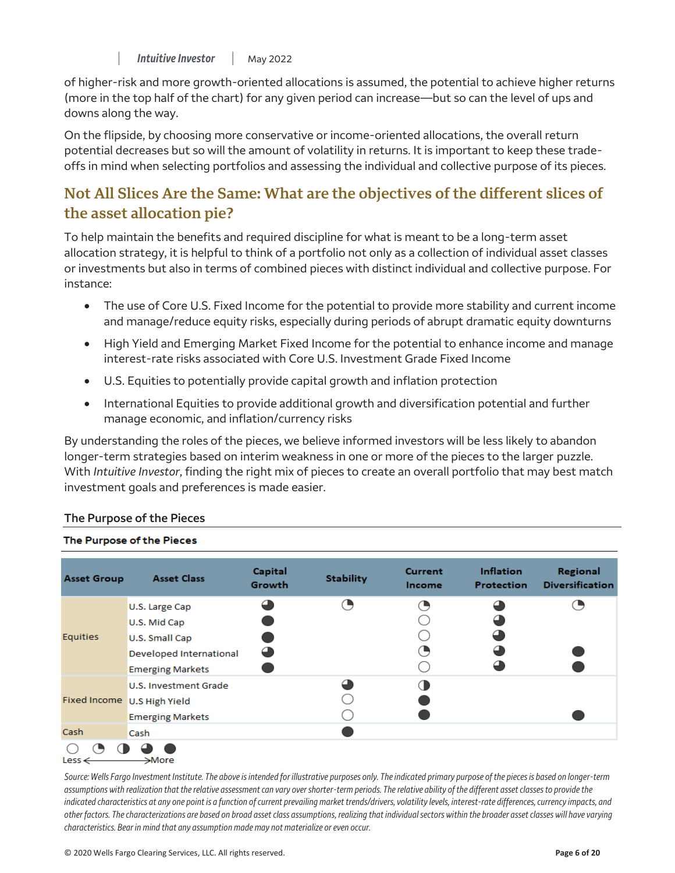of higher-risk and more growth-oriented allocations is assumed, the potential to achieve higher returns (more in the top half of the chart) for any given period can increase—but so can the level of ups and downs along the way.

On the flipside, by choosing more conservative or income-oriented allocations, the overall return potential decreases but so will the amount of volatility in returns. It is important to keep these tradeoffs in mind when selecting portfolios and assessing the individual and collective purpose of its pieces.

## **Not All Slices Are the Same: What are the objectives of the different slices of the asset allocation pie?**

To help maintain the benefits and required discipline for what is meant to be a long-term asset allocation strategy, it is helpful to think of a portfolio not only as a collection of individual asset classes or investments but also in terms of combined pieces with distinct individual and collective purpose. For instance:

- The use of Core U.S. Fixed Income for the potential to provide more stability and current income and manage/reduce equity risks, especially during periods of abrupt dramatic equity downturns  $\bullet$
- High Yield and Emerging Market Fixed Income for the potential to enhance income and manage interest-rate risks associated with Core U.S. Investment Grade Fixed Income  $\bullet$
- U.S. Equities to potentially provide capital growth and inflation protection  $\bullet$
- International Equities to provide additional growth and diversification potential and further manage economic, and inflation/currency risks  $\bullet$

By understanding the roles of the pieces, we believe informed investors will be less likely to abandon longer-term strategies based on interim weakness in one or more of the pieces to the larger puzzle. With *Intuitive Investor*, finding the right mix of pieces to create an overall portfolio that may best match investment goals and preferences is made easier.

| <b>Asset Group</b>          | <b>Asset Class</b>      | Capital<br><b>Growth</b> | <b>Stability</b> | <b>Current</b><br>Income | Inflation<br><b>Protection</b> | Regional<br><b>Diversification</b> |
|-----------------------------|-------------------------|--------------------------|------------------|--------------------------|--------------------------------|------------------------------------|
|                             | U.S. Large Cap          | △                        | O,               | O,                       | Δ                              |                                    |
|                             | U.S. Mid Cap            |                          |                  |                          | ┙                              |                                    |
| <b>Equities</b>             | U.S. Small Cap          |                          |                  |                          | ఆ                              |                                    |
|                             | Developed International | Œ                        |                  | ( ♥                      |                                |                                    |
|                             | <b>Emerging Markets</b> |                          |                  |                          | ┙                              |                                    |
| Fixed Income U.S High Yield | U.S. Investment Grade   |                          | ◢                | Œ                        |                                |                                    |
|                             |                         |                          |                  |                          |                                |                                    |
|                             | <b>Emerging Markets</b> |                          |                  |                          |                                |                                    |
| Cash                        | <b>Cash</b>             |                          |                  |                          |                                |                                    |
| Less $\leftarrow$           | →More                   |                          |                  |                          |                                |                                    |

#### **The Purpose of the Pieces**

The Purpose of the Pieces

*Source: Wells Fargo Investment Institute. The above is intended for illustrative purposes only. The indicated primary purpose of the pieces is based on longer-term*  assumptions with realization that the relative assessment can vary over shorter-term periods. The relative ability of the different asset classes to provide the *indicated characteristics at any one point is a function of current prevailing market trends/drivers, volatility levels, interest-rate differences, currency impacts, and other factors. The characterizations are based on broad asset class assumptions, realizing that individual sectors within the broader asset classes will have varying characteristics. Bear in mind that any assumption made may not materialize or even occur.*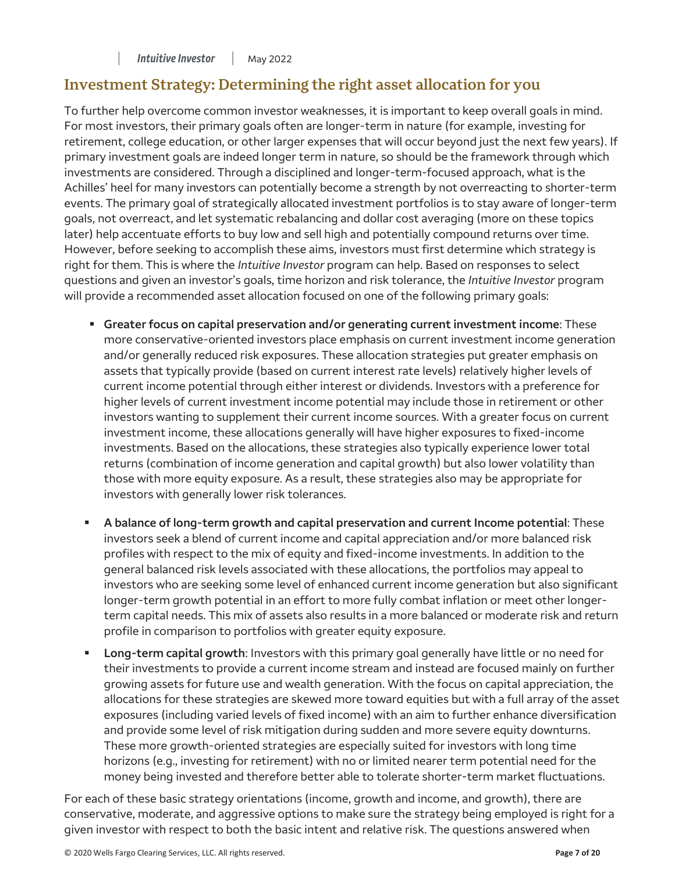## **Investment Strategy: Determining the right asset allocation for you**

To further help overcome common investor weaknesses, it is important to keep overall goals in mind. For most investors, their primary goals often are longer-term in nature (for example, investing for retirement, college education, or other larger expenses that will occur beyond just the next few years). If primary investment goals are indeed longer term in nature, so should be the framework through which investments are considered. Through a disciplined and longer-term-focused approach, what is the Achilles' heel for many investors can potentially become a strength by not overreacting to shorter-term events. The primary goal of strategically allocated investment portfolios is to stay aware of longer-term goals, not overreact, and let systematic rebalancing and dollar cost averaging (more on these topics later) help accentuate efforts to buy low and sell high and potentially compound returns over time. However, before seeking to accomplish these aims, investors must first determine which strategy is right for them. This is where the *Intuitive Investor* program can help. Based on responses to select questions and given an investor's goals, time horizon and risk tolerance, the *Intuitive Investor* program will provide a recommended asset allocation focused on one of the following primary goals:

- **Greater focus on capital preservation and/or generating current investment income**: These more conservative-oriented investors place emphasis on current investment income generation and/or generally reduced risk exposures. These allocation strategies put greater emphasis on assets that typically provide (based on current interest rate levels) relatively higher levels of current income potential through either interest or dividends. Investors with a preference for higher levels of current investment income potential may include those in retirement or other investors wanting to supplement their current income sources. With a greater focus on current investment income, these allocations generally will have higher exposures to fixed-income investments. Based on the allocations, these strategies also typically experience lower total returns (combination of income generation and capital growth) but also lower volatility than those with more equity exposure. As a result, these strategies also may be appropriate for investors with generally lower risk tolerances.
- **A balance of long-term growth and capital preservation and current Income potential**: These investors seek a blend of current income and capital appreciation and/or more balanced risk profiles with respect to the mix of equity and fixed-income investments. In addition to the general balanced risk levels associated with these allocations, the portfolios may appeal to investors who are seeking some level of enhanced current income generation but also significant longer-term growth potential in an effort to more fully combat inflation or meet other longerterm capital needs. This mix of assets also results in a more balanced or moderate risk and return profile in comparison to portfolios with greater equity exposure.
- **Long-term capital growth**: Investors with this primary goal generally have little or no need for their investments to provide a current income stream and instead are focused mainly on further growing assets for future use and wealth generation. With the focus on capital appreciation, the allocations for these strategies are skewed more toward equities but with a full array of the asset exposures (including varied levels of fixed income) with an aim to further enhance diversification and provide some level of risk mitigation during sudden and more severe equity downturns. These more growth-oriented strategies are especially suited for investors with long time horizons (e.g., investing for retirement) with no or limited nearer term potential need for the money being invested and therefore better able to tolerate shorter-term market fluctuations.

For each of these basic strategy orientations (income, growth and income, and growth), there are conservative, moderate, and aggressive options to make sure the strategy being employed is right for a given investor with respect to both the basic intent and relative risk. The questions answered when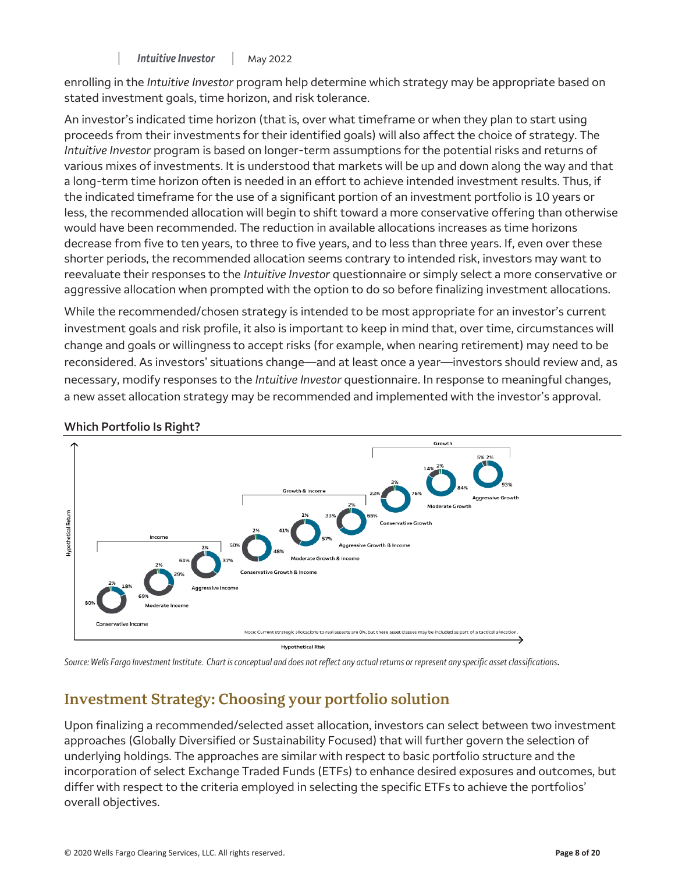enrolling in the *Intuitive Investor* program help determine which strategy may be appropriate based on stated investment goals, time horizon, and risk tolerance.

aggressive allocation when prompted with the option to do so before finalizing investment allocations. An investor's indicated time horizon (that is, over what timeframe or when they plan to start using proceeds from their investments for their identified goals) will also affect the choice of strategy. The *Intuitive Investor* program is based on longer-term assumptions for the potential risks and returns of various mixes of investments. It is understood that markets will be up and down along the way and that a long-term time horizon often is needed in an effort to achieve intended investment results. Thus, if the indicated timeframe for the use of a significant portion of an investment portfolio is 10 years or less, the recommended allocation will begin to shift toward a more conservative offering than otherwise would have been recommended. The reduction in available allocations increases as time horizons decrease from five to ten years, to three to five years, and to less than three years. If, even over these shorter periods, the recommended allocation seems contrary to intended risk, investors may want to reevaluate their responses to the *Intuitive Investor* questionnaire or simply select a more conservative or

While the recommended/chosen strategy is intended to be most appropriate for an investor's current investment goals and risk profile, it also is important to keep in mind that, over time, circumstances will change and goals or willingness to accept risks (for example, when nearing retirement) may need to be reconsidered. As investors' situations change—and at least once a year—investors should review and, as necessary, modify responses to the *Intuitive Investor* questionnaire. In response to meaningful changes, a new asset allocation strategy may be recommended and implemented with the investor's approval.



## **Which Portfolio Is Right?**

*Source: Wells Fargo Investment Institute. Chart is conceptual and does not reflect any actual returns or represent any specific asset classifications*.

# **Investment Strategy: Choosing your portfolio solution**

Upon finalizing a recommended/selected asset allocation, investors can select between two investment approaches (Globally Diversified or Sustainability Focused) that will further govern the selection of underlying holdings. The approaches are similar with respect to basic portfolio structure and the incorporation of select Exchange Traded Funds (ETFs) to enhance desired exposures and outcomes, but differ with respect to the criteria employed in selecting the specific ETFs to achieve the portfolios' overall objectives.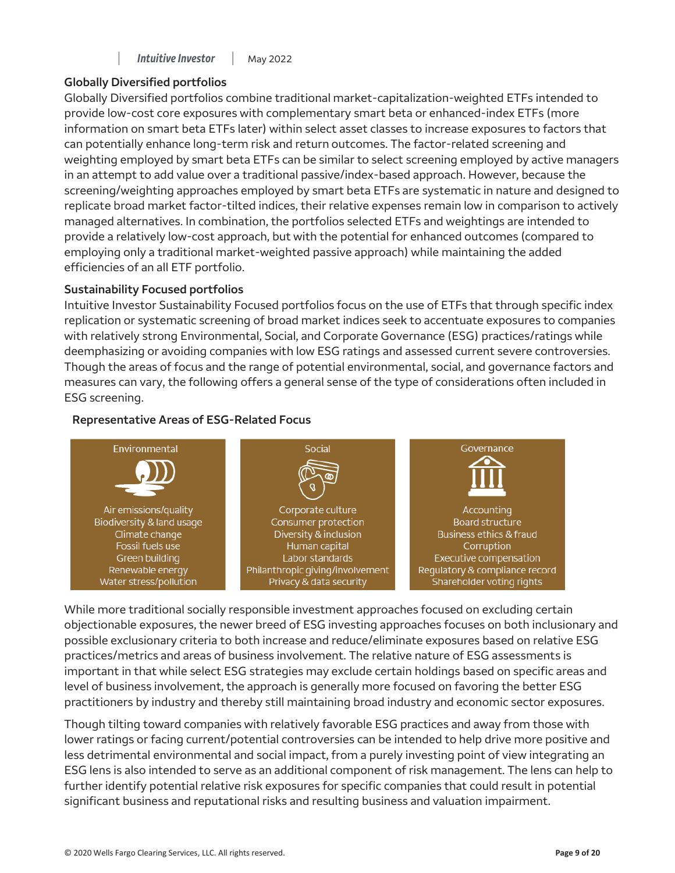#### **Intuitive Investor** | May 2022

## **Globally Diversified portfolios**

Globally Diversified portfolios combine traditional market-capitalization-weighted ETFs intended to provide low-cost core exposures with complementary smart beta or enhanced-index ETFs (more information on smart beta ETFs later) within select asset classes to increase exposures to factors that can potentially enhance long-term risk and return outcomes. The factor-related screening and weighting employed by smart beta ETFs can be similar to select screening employed by active managers in an attempt to add value over a traditional passive/index-based approach. However, because the screening/weighting approaches employed by smart beta ETFs are systematic in nature and designed to replicate broad market factor-tilted indices, their relative expenses remain low in comparison to actively managed alternatives. In combination, the portfolios selected ETFs and weightings are intended to provide a relatively low-cost approach, but with the potential for enhanced outcomes (compared to employing only a traditional market-weighted passive approach) while maintaining the added efficiencies of an all ETF portfolio.

## **Sustainability Focused portfolios**

Intuitive Investor Sustainability Focused portfolios focus on the use of ETFs that through specific index replication or systematic screening of broad market indices seek to accentuate exposures to companies with relatively strong Environmental, Social, and Corporate Governance (ESG) practices/ratings while deemphasizing or avoiding companies with low ESG ratings and assessed current severe controversies. Though the areas of focus and the range of potential environmental, social, and governance factors and measures can vary, the following offers a general sense of the type of considerations often included in ESG screening.

#### **Representative Areas of ESG-Related Focus**



While more traditional socially responsible investment approaches focused on excluding certain objectionable exposures, the newer breed of ESG investing approaches focuses on both inclusionary and possible exclusionary criteria to both increase and reduce/eliminate exposures based on relative ESG practices/metrics and areas of business involvement. The relative nature of ESG assessments is important in that while select ESG strategies may exclude certain holdings based on specific areas and level of business involvement, the approach is generally more focused on favoring the better ESG practitioners by industry and thereby still maintaining broad industry and economic sector exposures.

Though tilting toward companies with relatively favorable ESG practices and away from those with lower ratings or facing current/potential controversies can be intended to help drive more positive and less detrimental environmental and social impact, from a purely investing point of view integrating an ESG lens is also intended to serve as an additional component of risk management. The lens can help to further identify potential relative risk exposures for specific companies that could result in potential significant business and reputational risks and resulting business and valuation impairment.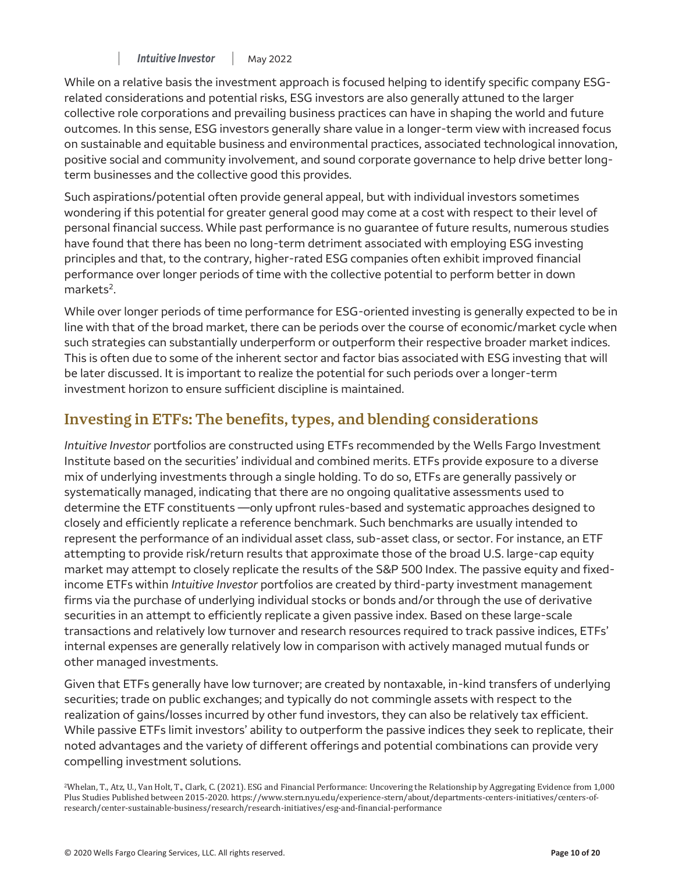While on a relative basis the investment approach is focused helping to identify specific company ESGrelated considerations and potential risks, ESG investors are also generally attuned to the larger collective role corporations and prevailing business practices can have in shaping the world and future outcomes. In this sense, ESG investors generally share value in a longer-term view with increased focus on sustainable and equitable business and environmental practices, associated technological innovation, positive social and community involvement, and sound corporate governance to help drive better longterm businesses and the collective good this provides.

Such aspirations/potential often provide general appeal, but with individual investors sometimes wondering if this potential for greater general good may come at a cost with respect to their level of personal financial success. While past performance is no guarantee of future results, numerous studies have found that there has been no long-term detriment associated with employing ESG investing principles and that, to the contrary, higher-rated ESG companies often exhibit improved financial performance over longer periods of time with the collective potential to perform better in down markets<sup>2</sup>.

While over longer periods of time performance for ESG-oriented investing is generally expected to be in line with that of the broad market, there can be periods over the course of economic/market cycle when such strategies can substantially underperform or outperform their respective broader market indices. This is often due to some of the inherent sector and factor bias associated with ESG investing that will be later discussed. It is important to realize the potential for such periods over a longer-term investment horizon to ensure sufficient discipline is maintained.

# **Investing in ETFs: The benefits, types, and blending considerations**

 income ETFs within *Intuitive Investor* portfolios are created by third-party investment management *Intuitive Investor* portfolios are constructed using ETFs recommended by the Wells Fargo Investment Institute based on the securities' individual and combined merits. ETFs provide exposure to a diverse mix of underlying investments through a single holding. To do so, ETFs are generally passively or systematically managed, indicating that there are no ongoing qualitative assessments used to determine the ETF constituents —only upfront rules-based and systematic approaches designed to closely and efficiently replicate a reference benchmark. Such benchmarks are usually intended to represent the performance of an individual asset class, sub-asset class, or sector. For instance, an ETF attempting to provide risk/return results that approximate those of the broad U.S. large-cap equity market may attempt to closely replicate the results of the S&P 500 Index. The passive equity and fixedfirms via the purchase of underlying individual stocks or bonds and/or through the use of derivative securities in an attempt to efficiently replicate a given passive index. Based on these large-scale transactions and relatively low turnover and research resources required to track passive indices, ETFs' internal expenses are generally relatively low in comparison with actively managed mutual funds or other managed investments.

Given that ETFs generally have low turnover; are created by nontaxable, in-kind transfers of underlying securities; trade on public exchanges; and typically do not commingle assets with respect to the realization of gains/losses incurred by other fund investors, they can also be relatively tax efficient. While passive ETFs limit investors' ability to outperform the passive indices they seek to replicate, their noted advantages and the variety of different offerings and potential combinations can provide very compelling investment solutions.

2Whelan, T., Atz, U., Van Holt, T., Clark, C. (2021). ESG and Financial Performance: Uncovering the Relationship by Aggregating Evidence from 1,000 Plus Studies Published between 2015-2020. [https://www.stern.nyu.edu/experience-stern/about/departments-centers-initiatives/centers-of](https://www.stern.nyu.edu/experience-stern/about/departments-centers-initiatives/centers-of-research/center-sustainable-business/research/research-initiatives/esg-and-financial-performance)[research/center-sustainable-business/research/research-initiatives/esg-and-financial-performance](https://www.stern.nyu.edu/experience-stern/about/departments-centers-initiatives/centers-of-research/center-sustainable-business/research/research-initiatives/esg-and-financial-performance)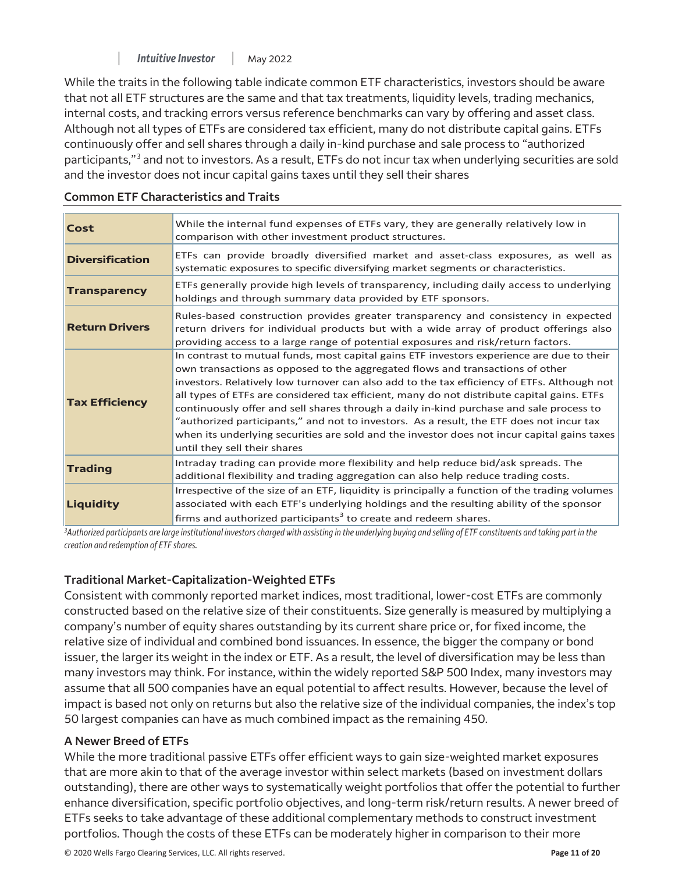Although not all types of ETFs are considered tax efficient, many do not distribute capital gains. ETFs While the traits in the following table indicate common ETF characteristics, investors should be aware that not all ETF structures are the same and that tax treatments, liquidity levels, trading mechanics, internal costs, and tracking errors versus reference benchmarks can vary by offering and asset class. continuously offer and sell shares through a daily in-kind purchase and sale process to "authorized participants,"<sup>3</sup> and not to investors. As a result, ETFs do not incur tax when underlying securities are sold and the investor does not incur capital gains taxes until they sell their shares

| Cost                   | While the internal fund expenses of ETFs vary, they are generally relatively low in<br>comparison with other investment product structures.                                                                                                                                                                                                                                                                                                                                                                                                                                                                                                                                                   |
|------------------------|-----------------------------------------------------------------------------------------------------------------------------------------------------------------------------------------------------------------------------------------------------------------------------------------------------------------------------------------------------------------------------------------------------------------------------------------------------------------------------------------------------------------------------------------------------------------------------------------------------------------------------------------------------------------------------------------------|
| <b>Diversification</b> | ETFs can provide broadly diversified market and asset-class exposures, as well as<br>systematic exposures to specific diversifying market segments or characteristics.                                                                                                                                                                                                                                                                                                                                                                                                                                                                                                                        |
| <b>Transparency</b>    | ETFs generally provide high levels of transparency, including daily access to underlying<br>holdings and through summary data provided by ETF sponsors.                                                                                                                                                                                                                                                                                                                                                                                                                                                                                                                                       |
| <b>Return Drivers</b>  | Rules-based construction provides greater transparency and consistency in expected<br>return drivers for individual products but with a wide array of product offerings also<br>providing access to a large range of potential exposures and risk/return factors.                                                                                                                                                                                                                                                                                                                                                                                                                             |
| <b>Tax Efficiency</b>  | In contrast to mutual funds, most capital gains ETF investors experience are due to their<br>own transactions as opposed to the aggregated flows and transactions of other<br>investors. Relatively low turnover can also add to the tax efficiency of ETFs. Although not<br>all types of ETFs are considered tax efficient, many do not distribute capital gains. ETFs<br>continuously offer and sell shares through a daily in-kind purchase and sale process to<br>"authorized participants," and not to investors. As a result, the ETF does not incur tax<br>when its underlying securities are sold and the investor does not incur capital gains taxes<br>until they sell their shares |
| <b>Trading</b>         | Intraday trading can provide more flexibility and help reduce bid/ask spreads. The<br>additional flexibility and trading aggregation can also help reduce trading costs.                                                                                                                                                                                                                                                                                                                                                                                                                                                                                                                      |
| <b>Liquidity</b>       | Irrespective of the size of an ETF, liquidity is principally a function of the trading volumes<br>associated with each ETF's underlying holdings and the resulting ability of the sponsor<br>firms and authorized participants <sup>3</sup> to create and redeem shares.                                                                                                                                                                                                                                                                                                                                                                                                                      |

#### **Common ETF Characteristics and Traits**

*3 Authorized participants are large institutional investors charged with assisting in the underlying buying and selling of ETF constituents and taking part in the creation and redemption of ETF shares*.

## **Traditional Market-Capitalization-Weighted ETFs**

 constructed based on the relative size of their constituents. Size generally is measured by multiplying a Consistent with commonly reported market indices, most traditional, lower-cost ETFs are commonly company's number of equity shares outstanding by its current share price or, for fixed income, the relative size of individual and combined bond issuances. In essence, the bigger the company or bond issuer, the larger its weight in the index or ETF. As a result, the level of diversification may be less than many investors may think. For instance, within the widely reported S&P 500 Index, many investors may assume that all 500 companies have an equal potential to affect results. However, because the level of impact is based not only on returns but also the relative size of the individual companies, the index's top 50 largest companies can have as much combined impact as the remaining 450.

## **A Newer Breed of ETFs**

While the more traditional passive ETFs offer efficient ways to gain size-weighted market exposures that are more akin to that of the average investor within select markets (based on investment dollars outstanding), there are other ways to systematically weight portfolios that offer the potential to further enhance diversification, specific portfolio objectives, and long-term risk/return results. A newer breed of ETFs seeks to take advantage of these additional complementary methods to construct investment portfolios. Though the costs of these ETFs can be moderately higher in comparison to their more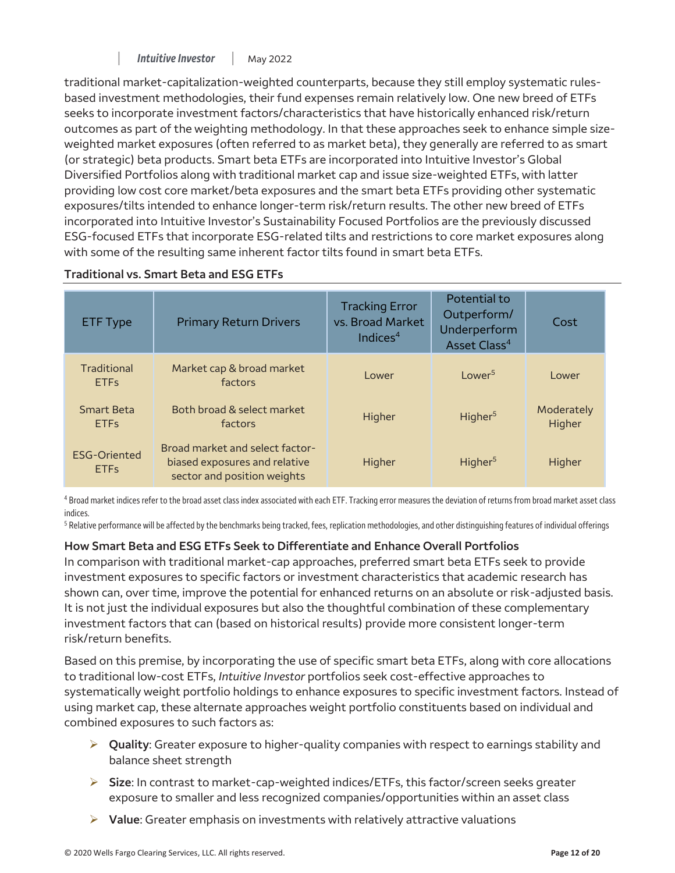*| Intuitive Investor |* May 2022 *— — — —*

traditional market-capitalization-weighted counterparts, because they still employ systematic rulesbased investment methodologies, their fund expenses remain relatively low. One new breed of ETFs seeks to incorporate investment factors/characteristics that have historically enhanced risk/return outcomes as part of the weighting methodology. In that these approaches seek to enhance simple sizeweighted market exposures (often referred to as market beta), they generally are referred to as smart (or strategic) beta products. Smart beta ETFs are incorporated into Intuitive Investor's Global Diversified Portfolios along with traditional market cap and issue size-weighted ETFs, with latter providing low cost core market/beta exposures and the smart beta ETFs providing other systematic exposures/tilts intended to enhance longer-term risk/return results. The other new breed of ETFs incorporated into Intuitive Investor's Sustainability Focused Portfolios are the previously discussed ESG-focused ETFs that incorporate ESG-related tilts and restrictions to core market exposures along with some of the resulting same inherent factor tilts found in smart beta ETFs.

| <b>ETF Type</b>                    | <b>Primary Return Drivers</b>                                                                   | <b>Tracking Error</b><br>vs. Broad Market<br>Indices $4$ | Potential to<br>Outperform/<br>Underperform<br>Asset Class <sup>4</sup> | Cost                 |
|------------------------------------|-------------------------------------------------------------------------------------------------|----------------------------------------------------------|-------------------------------------------------------------------------|----------------------|
| Traditional<br><b>ETFs</b>         | Market cap & broad market<br>factors                                                            | Lower                                                    | Lower <sup>5</sup>                                                      | Lower                |
| <b>Smart Beta</b><br><b>ETFs</b>   | Both broad & select market<br>factors                                                           | Higher                                                   | Higher <sup>5</sup>                                                     | Moderately<br>Higher |
| <b>ESG-Oriented</b><br><b>ETFs</b> | Broad market and select factor-<br>biased exposures and relative<br>sector and position weights | Higher                                                   | Higher <sup>5</sup>                                                     | Higher               |

## **Traditional vs. Smart Beta and ESG ETFs**

<sup>4</sup> Broad market indices refer to the broad asset class index associated with each ETF. Tracking error measures the deviation of returns from broad market asset class indices.

<sup>5</sup> Relative performance will be affected by the benchmarks being tracked, fees, replication methodologies, and other distinguishing features of individual offerings

## **How Smart Beta and ESG ETFs Seek to Differentiate and Enhance Overall Portfolios**

In comparison with traditional market-cap approaches, preferred smart beta ETFs seek to provide investment exposures to specific factors or investment characteristics that academic research has shown can, over time, improve the potential for enhanced returns on an absolute or risk-adjusted basis. It is not just the individual exposures but also the thoughtful combination of these complementary investment factors that can (based on historical results) provide more consistent longer-term risk/return benefits.

Based on this premise, by incorporating the use of specific smart beta ETFs, along with core allocations to traditional low-cost ETFs, *Intuitive Investor* portfolios seek cost-effective approaches to systematically weight portfolio holdings to enhance exposures to specific investment factors. Instead of using market cap, these alternate approaches weight portfolio constituents based on individual and combined exposures to such factors as:

- **Quality**: Greater exposure to higher-quality companies with respect to earnings stability and balance sheet strength
- **Size**: In contrast to market-cap-weighted indices/ETFs, this factor/screen seeks greater exposure to smaller and less recognized companies/opportunities within an asset class
- **Value**: Greater emphasis on investments with relatively attractive valuations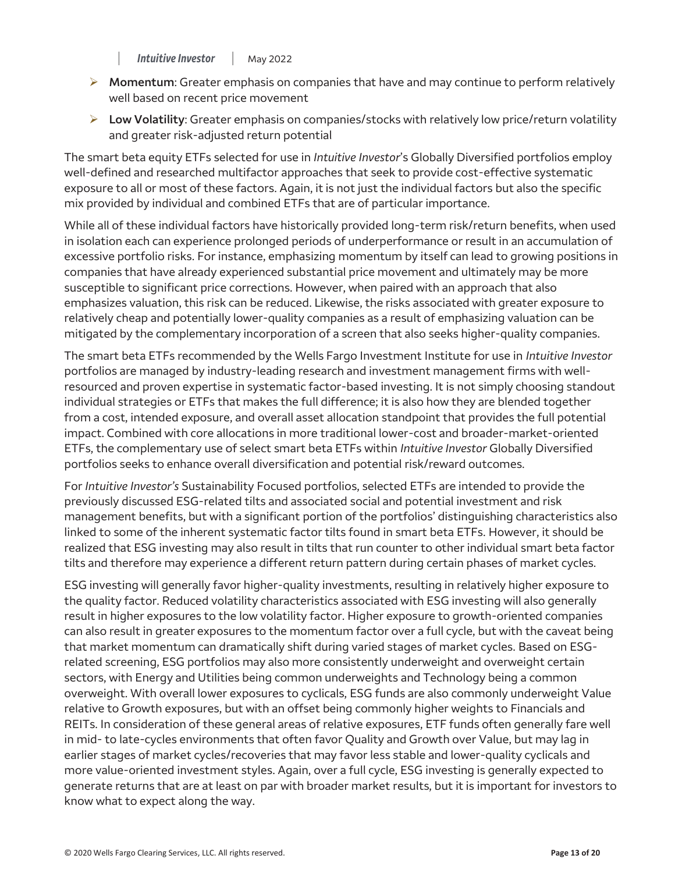- **Momentum**: Greater emphasis on companies that have and may continue to perform relatively well based on recent price movement
- **Low Volatility**: Greater emphasis on companies/stocks with relatively low price/return volatility and greater risk-adjusted return potential

 well-defined and researched multifactor approaches that seek to provide cost-effective systematic The smart beta equity ETFs selected for use in *Intuitive Investor*'s Globally Diversified portfolios employ exposure to all or most of these factors. Again, it is not just the individual factors but also the specific mix provided by individual and combined ETFs that are of particular importance.

While all of these individual factors have historically provided long-term risk/return benefits, when used in isolation each can experience prolonged periods of underperformance or result in an accumulation of excessive portfolio risks. For instance, emphasizing momentum by itself can lead to growing positions in companies that have already experienced substantial price movement and ultimately may be more susceptible to significant price corrections. However, when paired with an approach that also emphasizes valuation, this risk can be reduced. Likewise, the risks associated with greater exposure to relatively cheap and potentially lower-quality companies as a result of emphasizing valuation can be mitigated by the complementary incorporation of a screen that also seeks higher-quality companies.

 portfolios seeks to enhance overall diversification and potential risk/reward outcomes. The smart beta ETFs recommended by the Wells Fargo Investment Institute for use in *Intuitive Investor*  portfolios are managed by industry-leading research and investment management firms with wellresourced and proven expertise in systematic factor-based investing. It is not simply choosing standout individual strategies or ETFs that makes the full difference; it is also how they are blended together from a cost, intended exposure, and overall asset allocation standpoint that provides the full potential impact. Combined with core allocations in more traditional lower-cost and broader-market-oriented ETFs, the complementary use of select smart beta ETFs within *Intuitive Investor* Globally Diversified

 linked to some of the inherent systematic factor tilts found in smart beta ETFs. However, it should be For *Intuitive Investor's* Sustainability Focused portfolios, selected ETFs are intended to provide the previously discussed ESG-related tilts and associated social and potential investment and risk management benefits, but with a significant portion of the portfolios' distinguishing characteristics also realized that ESG investing may also result in tilts that run counter to other individual smart beta factor tilts and therefore may experience a different return pattern during certain phases of market cycles.

ESG investing will generally favor higher-quality investments, resulting in relatively higher exposure to the quality factor. Reduced volatility characteristics associated with ESG investing will also generally result in higher exposures to the low volatility factor. Higher exposure to growth-oriented companies can also result in greater exposures to the momentum factor over a full cycle, but with the caveat being that market momentum can dramatically shift during varied stages of market cycles. Based on ESGrelated screening, ESG portfolios may also more consistently underweight and overweight certain sectors, with Energy and Utilities being common underweights and Technology being a common overweight. With overall lower exposures to cyclicals, ESG funds are also commonly underweight Value relative to Growth exposures, but with an offset being commonly higher weights to Financials and REITs. In consideration of these general areas of relative exposures, ETF funds often generally fare well in mid- to late-cycles environments that often favor Quality and Growth over Value, but may lag in earlier stages of market cycles/recoveries that may favor less stable and lower-quality cyclicals and more value-oriented investment styles. Again, over a full cycle, ESG investing is generally expected to generate returns that are at least on par with broader market results, but it is important for investors to know what to expect along the way.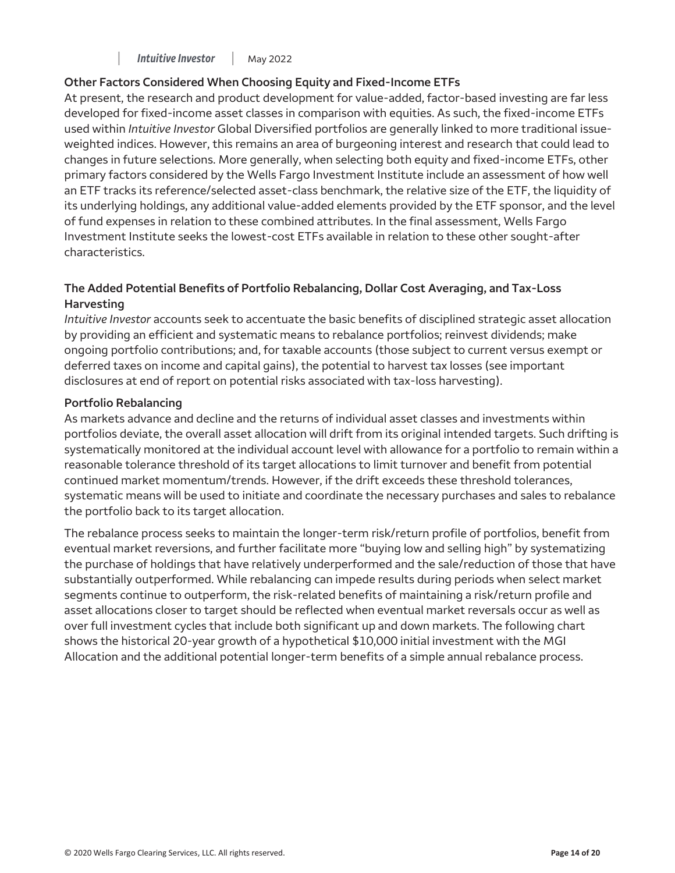## **Other Factors Considered When Choosing Equity and Fixed-Income ETFs**

At present, the research and product development for value-added, factor-based investing are far less developed for fixed-income asset classes in comparison with equities. As such, the fixed-income ETFs used within *Intuitive Investor* Global Diversified portfolios are generally linked to more traditional issueweighted indices. However, this remains an area of burgeoning interest and research that could lead to changes in future selections. More generally, when selecting both equity and fixed-income ETFs, other primary factors considered by the Wells Fargo Investment Institute include an assessment of how well an ETF tracks its reference/selected asset-class benchmark, the relative size of the ETF, the liquidity of its underlying holdings, any additional value-added elements provided by the ETF sponsor, and the level of fund expenses in relation to these combined attributes. In the final assessment, Wells Fargo Investment Institute seeks the lowest-cost ETFs available in relation to these other sought-after characteristics.

## **The Added Potential Benefits of Portfolio Rebalancing, Dollar Cost Averaging, and Tax-Loss Harvesting**

*Intuitive Investor* accounts seek to accentuate the basic benefits of disciplined strategic asset allocation by providing an efficient and systematic means to rebalance portfolios; reinvest dividends; make ongoing portfolio contributions; and, for taxable accounts (those subject to current versus exempt or deferred taxes on income and capital gains), the potential to harvest tax losses (see important disclosures at end of report on potential risks associated with tax-loss harvesting).

#### **Portfolio Rebalancing**

As markets advance and decline and the returns of individual asset classes and investments within portfolios deviate, the overall asset allocation will drift from its original intended targets. Such drifting is systematically monitored at the individual account level with allowance for a portfolio to remain within a reasonable tolerance threshold of its target allocations to limit turnover and benefit from potential continued market momentum/trends. However, if the drift exceeds these threshold tolerances, systematic means will be used to initiate and coordinate the necessary purchases and sales to rebalance the portfolio back to its target allocation.

 Allocation and the additional potential longer-term benefits of a simple annual rebalance process. The rebalance process seeks to maintain the longer-term risk/return profile of portfolios, benefit from eventual market reversions, and further facilitate more "buying low and selling high" by systematizing the purchase of holdings that have relatively underperformed and the sale/reduction of those that have substantially outperformed. While rebalancing can impede results during periods when select market segments continue to outperform, the risk-related benefits of maintaining a risk/return profile and asset allocations closer to target should be reflected when eventual market reversals occur as well as over full investment cycles that include both significant up and down markets. The following chart shows the historical 20-year growth of a hypothetical \$10,000 initial investment with the MGI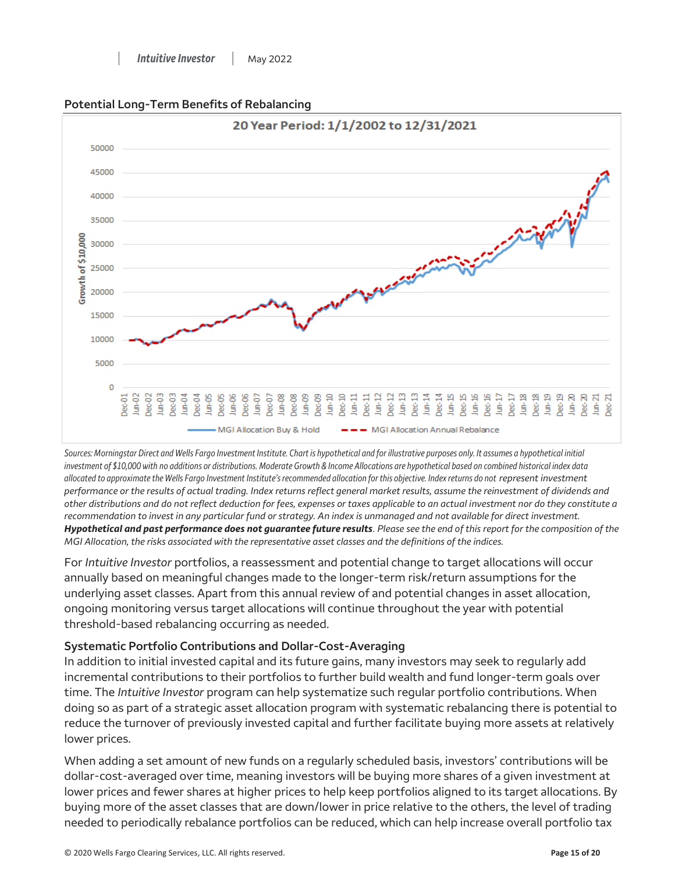

#### **Potential Long-Term Benefits of Rebalancing**

*Sources: Morningstar Direct and Wells Fargo Investment Institute. Chart is hypothetical and for illustrative purposes only. It assumes a hypothetical initial investment of \$10,000 with no additions or distributions. Moderate Growth & Income Allocations are hypothetical based on combined historical index data allocated to approximate the Wells Fargo Investment Institute's recommended allocation for this objective. Index returns do not represent investment performance or the results of actual trading. Index returns reflect general market results, assume the reinvestment of dividends and other distributions and do not reflect deduction for fees, expenses or taxes applicable to an actual investment nor do they constitute a recommendation to invest in any particular fund or strategy. An index is unmanaged and not available for direct investment. Hypothetical and past performance does not guarantee future results. Please see the end of this report for the composition of the MGI Allocation, the risks associated with the representative asset classes and the definitions of the indices.* 

For *Intuitive Investor* portfolios, a reassessment and potential change to target allocations will occur annually based on meaningful changes made to the longer-term risk/return assumptions for the underlying asset classes. Apart from this annual review of and potential changes in asset allocation, ongoing monitoring versus target allocations will continue throughout the year with potential threshold-based rebalancing occurring as needed.

## **Systematic Portfolio Contributions and Dollar-Cost-Averaging**

In addition to initial invested capital and its future gains, many investors may seek to regularly add incremental contributions to their portfolios to further build wealth and fund longer-term goals over time. The *Intuitive Investor* program can help systematize such regular portfolio contributions. When doing so as part of a strategic asset allocation program with systematic rebalancing there is potential to reduce the turnover of previously invested capital and further facilitate buying more assets at relatively lower prices.

When adding a set amount of new funds on a regularly scheduled basis, investors' contributions will be dollar-cost-averaged over time, meaning investors will be buying more shares of a given investment at lower prices and fewer shares at higher prices to help keep portfolios aligned to its target allocations. By buying more of the asset classes that are down/lower in price relative to the others, the level of trading needed to periodically rebalance portfolios can be reduced, which can help increase overall portfolio tax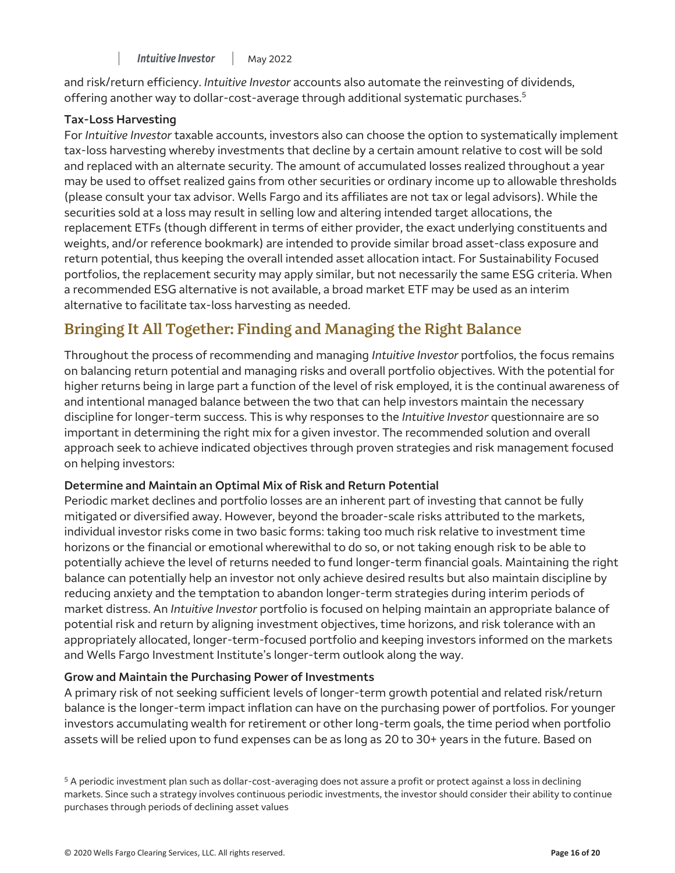offering another way to dollar-cost-average through additional systematic purchases.<sup>5</sup> and risk/return efficiency. *Intuitive Investor* accounts also automate the reinvesting of dividends,

## **Tax-Loss Harvesting**

For *Intuitive Investor* taxable accounts, investors also can choose the option to systematically implement tax-loss harvesting whereby investments that decline by a certain amount relative to cost will be sold and replaced with an alternate security. The amount of accumulated losses realized throughout a year may be used to offset realized gains from other securities or ordinary income up to allowable thresholds (please consult your tax advisor. Wells Fargo and its affiliates are not tax or legal advisors). While the securities sold at a loss may result in selling low and altering intended target allocations, the replacement ETFs (though different in terms of either provider, the exact underlying constituents and weights, and/or reference bookmark) are intended to provide similar broad asset-class exposure and return potential, thus keeping the overall intended asset allocation intact. For Sustainability Focused portfolios, the replacement security may apply similar, but not necessarily the same ESG criteria. When a recommended ESG alternative is not available, a broad market ETF may be used as an interim alternative to facilitate tax-loss harvesting as needed.

## **Bringing It All Together: Finding and Managing the Right Balance**

Throughout the process of recommending and managing *Intuitive Investor* portfolios, the focus remains on balancing return potential and managing risks and overall portfolio objectives. With the potential for higher returns being in large part a function of the level of risk employed, it is the continual awareness of and intentional managed balance between the two that can help investors maintain the necessary discipline for longer-term success. This is why responses to the *Intuitive Investor* questionnaire are so important in determining the right mix for a given investor. The recommended solution and overall approach seek to achieve indicated objectives through proven strategies and risk management focused on helping investors:

## **Determine and Maintain an Optimal Mix of Risk and Return Potential**

 and Wells Fargo Investment Institute's longer-term outlook along the way. Periodic market declines and portfolio losses are an inherent part of investing that cannot be fully mitigated or diversified away. However, beyond the broader-scale risks attributed to the markets, individual investor risks come in two basic forms: taking too much risk relative to investment time horizons or the financial or emotional wherewithal to do so, or not taking enough risk to be able to potentially achieve the level of returns needed to fund longer-term financial goals. Maintaining the right balance can potentially help an investor not only achieve desired results but also maintain discipline by reducing anxiety and the temptation to abandon longer-term strategies during interim periods of market distress. An *Intuitive Investor* portfolio is focused on helping maintain an appropriate balance of potential risk and return by aligning investment objectives, time horizons, and risk tolerance with an appropriately allocated, longer-term-focused portfolio and keeping investors informed on the markets

## **Grow and Maintain the Purchasing Power of Investments**

A primary risk of not seeking sufficient levels of longer-term growth potential and related risk/return balance is the longer-term impact inflation can have on the purchasing power of portfolios. For younger investors accumulating wealth for retirement or other long-term goals, the time period when portfolio assets will be relied upon to fund expenses can be as long as 20 to 30+ years in the future. Based on

5 A periodic investment plan such as dollar-cost-averaging does not assure a profit or protect against a loss in declining markets. Since such a strategy involves continuous periodic investments, the investor should consider their ability to continue purchases through periods of declining asset values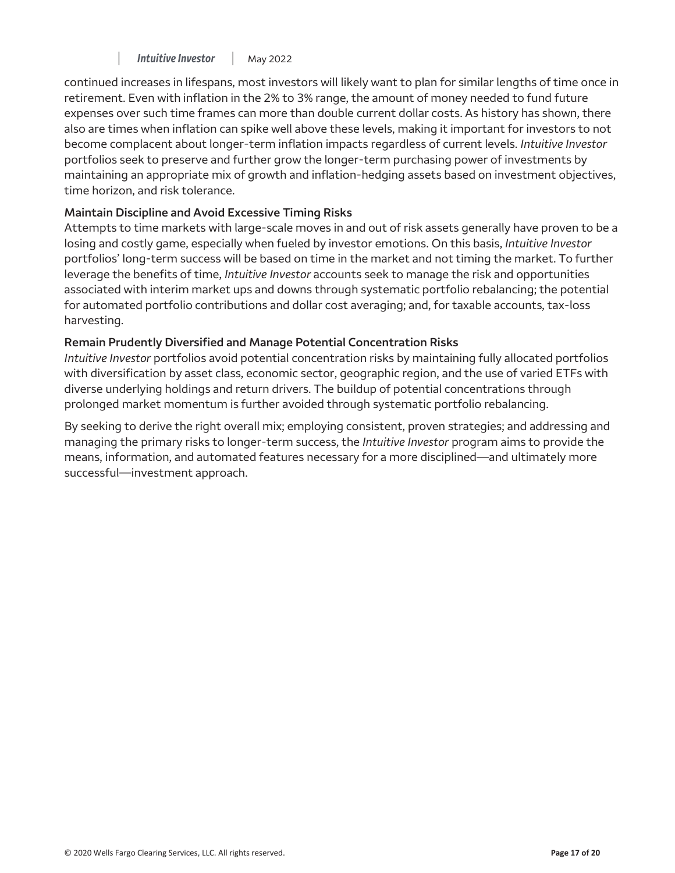continued increases in lifespans, most investors will likely want to plan for similar lengths of time once in retirement. Even with inflation in the 2% to 3% range, the amount of money needed to fund future expenses over such time frames can more than double current dollar costs. As history has shown, there also are times when inflation can spike well above these levels, making it important for investors to not become complacent about longer-term inflation impacts regardless of current levels. *Intuitive Investor*  portfolios seek to preserve and further grow the longer-term purchasing power of investments by maintaining an appropriate mix of growth and inflation-hedging assets based on investment objectives, time horizon, and risk tolerance.

## **Maintain Discipline and Avoid Excessive Timing Risks**

Attempts to time markets with large-scale moves in and out of risk assets generally have proven to be a losing and costly game, especially when fueled by investor emotions. On this basis, *Intuitive Investor*  portfolios' long-term success will be based on time in the market and not timing the market. To further leverage the benefits of time, *Intuitive Investor* accounts seek to manage the risk and opportunities associated with interim market ups and downs through systematic portfolio rebalancing; the potential for automated portfolio contributions and dollar cost averaging; and, for taxable accounts, tax-loss harvesting.

## **Remain Prudently Diversified and Manage Potential Concentration Risks**

*Intuitive Investor* portfolios avoid potential concentration risks by maintaining fully allocated portfolios with diversification by asset class, economic sector, geographic region, and the use of varied ETFs with diverse underlying holdings and return drivers. The buildup of potential concentrations through prolonged market momentum is further avoided through systematic portfolio rebalancing.

By seeking to derive the right overall mix; employing consistent, proven strategies; and addressing and managing the primary risks to longer-term success, the *Intuitive Investor* program aims to provide the means, information, and automated features necessary for a more disciplined—and ultimately more successful—investment approach.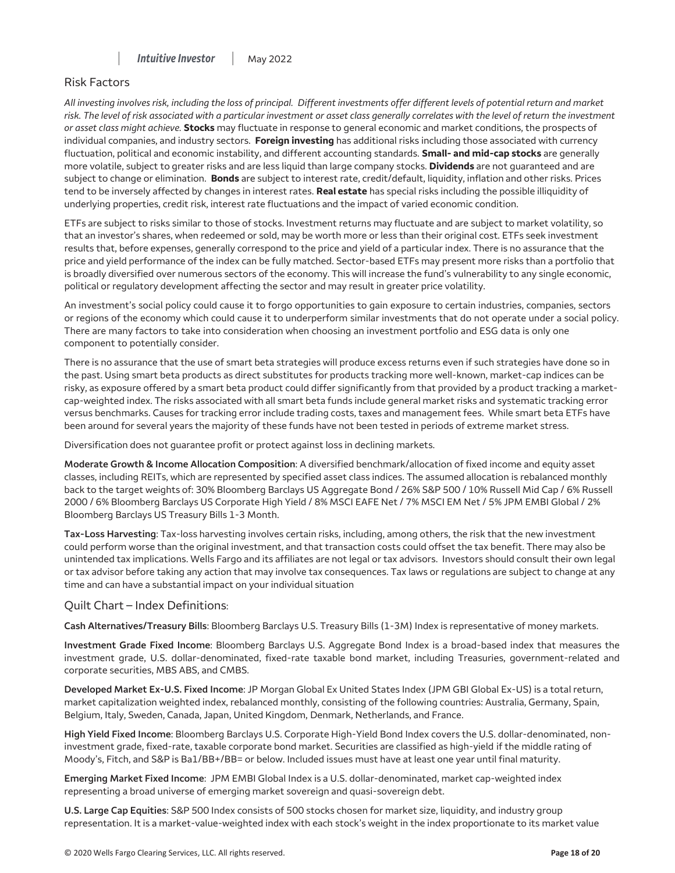

#### Risk Factors

*All investing involves risk, including the loss of principal. Different investments offer different levels of potential return and market*  risk. The level of risk associated with a particular investment or asset class generally correlates with the level of return the investment *or asset class might achieve.* **Stocks** may fluctuate in response to general economic and market conditions, the prospects of individual companies, and industry sectors. **Foreign investing** has additional risks including those associated with currency fluctuation, political and economic instability, and different accounting standards. **Small- and mid-cap stocks** are generally more volatile, subject to greater risks and are less liquid than large company stocks. **Dividends** are not guaranteed and are subject to change or elimination. **Bonds** are subject to interest rate, credit/default, liquidity, inflation and other risks. Prices tend to be inversely affected by changes in interest rates. **Real estate** has special risks including the possible illiquidity of underlying properties, credit risk, interest rate fluctuations and the impact of varied economic condition.

ETFs are subject to risks similar to those of stocks. Investment returns may fluctuate and are subject to market volatility, so that an investor's shares, when redeemed or sold, may be worth more or less than their original cost. ETFs seek investment results that, before expenses, generally correspond to the price and yield of a particular index. There is no assurance that the price and yield performance of the index can be fully matched. Sector-based ETFs may present more risks than a portfolio that is broadly diversified over numerous sectors of the economy. This will increase the fund's vulnerability to any single economic, political or regulatory development affecting the sector and may result in greater price volatility.

An investment's social policy could cause it to forgo opportunities to gain exposure to certain industries, companies, sectors or regions of the economy which could cause it to underperform similar investments that do not operate under a social policy. There are many factors to take into consideration when choosing an investment portfolio and ESG data is only one component to potentially consider.

There is no assurance that the use of smart beta strategies will produce excess returns even if such strategies have done so in the past. Using smart beta products as direct substitutes for products tracking more well-known, market-cap indices can be risky, as exposure offered by a smart beta product could differ significantly from that provided by a product tracking a marketcap-weighted index. The risks associated with all smart beta funds include general market risks and systematic tracking error versus benchmarks. Causes for tracking error include trading costs, taxes and management fees. While smart beta ETFs have been around for several years the majority of these funds have not been tested in periods of extreme market stress.

Diversification does not guarantee profit or protect against loss in declining markets.

**Moderate Growth & Income Allocation Composition**: A diversified benchmark/allocation of fixed income and equity asset classes, including REITs, which are represented by specified asset class indices. The assumed allocation is rebalanced monthly back to the target weights of: 30% Bloomberg Barclays US Aggregate Bond / 26% S&P 500 / 10% Russell Mid Cap / 6% Russell 2000 / 6% Bloomberg Barclays US Corporate High Yield / 8% MSCI EAFE Net / 7% MSCI EM Net / 5% JPM EMBI Global / 2% Bloomberg Barclays US Treasury Bills 1-3 Month.

**Tax-Loss Harvesting**: Tax-loss harvesting involves certain risks, including, among others, the risk that the new investment could perform worse than the original investment, and that transaction costs could offset the tax benefit. There may also be unintended tax implications. Wells Fargo and its affiliates are not legal or tax advisors. Investors should consult their own legal or tax advisor before taking any action that may involve tax consequences. Tax laws or regulations are subject to change at any time and can have a substantial impact on your individual situation

#### Quilt Chart – Index Definitions:

**Cash Alternatives/Treasury Bills**: Bloomberg Barclays U.S. Treasury Bills (1‐3M) Index is representative of money markets.

**Investment Grade Fixed Income**: Bloomberg Barclays U.S. Aggregate Bond Index is a broad‐based index that measures the investment grade, U.S. dollar-denominated, fixed-rate taxable bond market, including Treasuries, government-related and corporate securities, MBS ABS, and CMBS.

**Developed Market Ex‐U.S. Fixed Income**: JP Morgan Global Ex United States Index (JPM GBI Global Ex‐US) is a total return, market capitalization weighted index, rebalanced monthly, consisting of the following countries: Australia, Germany, Spain, Belgium, Italy, Sweden, Canada, Japan, United Kingdom, Denmark, Netherlands, and France.

**High Yield Fixed Income**: Bloomberg Barclays U.S. Corporate High‐Yield Bond Index covers the U.S. dollar‐denominated, non‐ investment grade, fixed-rate, taxable corporate bond market. Securities are classified as high-yield if the middle rating of Moody's, Fitch, and S&P is Ba1/BB+/BB= or below. Included issues must have at least one year until final maturity.

**Emerging Market Fixed Income**: JPM EMBI Global Index is a U.S. dollar-denominated, market cap-weighted index representing a broad universe of emerging market sovereign and quasi-sovereign debt.

**U.S. Large Cap Equities**: S&P 500 Index consists of 500 stocks chosen for market size, liquidity, and industry group representation. It is a market‐value‐weighted index with each stock's weight in the index proportionate to its market value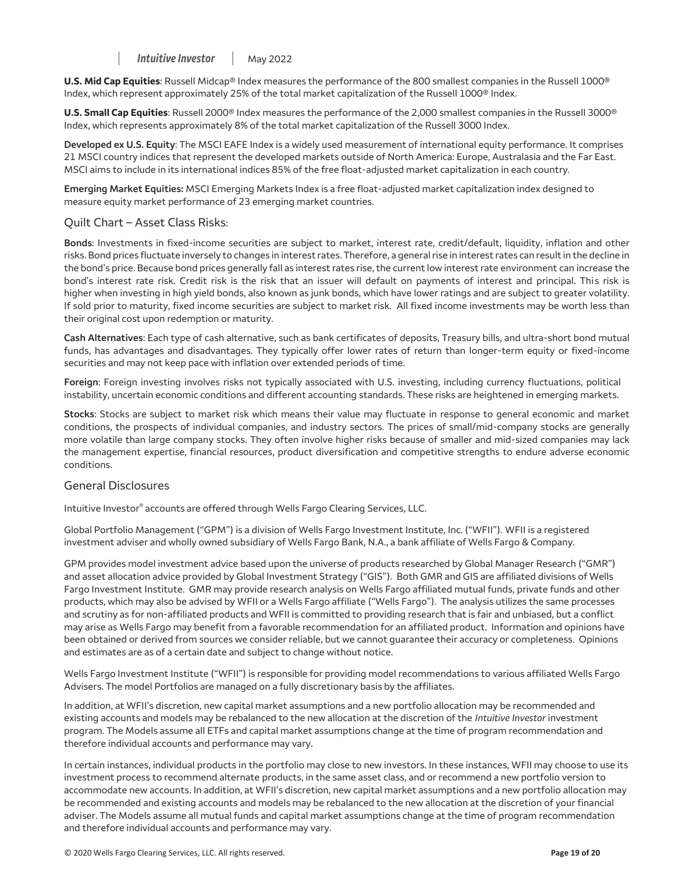**U.S. Mid Cap Equities**: Russell Midcap® Index measures the performance of the 800 smallest companies in the Russell 1000® Index, which represent approximately 25% of the total market capitalization of the Russell 1000® Index.

 **U.S. Small Cap Equities**: Russell 2000® Index measures the performance of the 2,000 smallest companies in the Russell 3000® Index, which represents approximately 8% of the total market capitalization of the Russell 3000 Index.

**Developed ex U.S. Equity**: The MSCI EAFE Index is a widely used measurement of international equity performance. It comprises 21 MSCI country indices that represent the developed markets outside of North America: Europe, Australasia and the Far East. MSCI aims to include in its international indices 85% of the free float-adjusted market capitalization in each country.

**Emerging Market Equities:** MSCI Emerging Markets Index is a free float‐adjusted market capitalization index designed to measure equity market performance of 23 emerging market countries.

#### Quilt Chart – Asset Class Risks:

 bond's interest rate risk. Credit risk is the risk that an issuer will default on payments of interest and principal. This risk is **Bonds**: Investments in fixed-income securities are subject to market, interest rate, credit/default, liquidity, inflation and other risks. Bond prices fluctuate inversely to changes in interest rates. Therefore, a general rise in interest rates can result in the decline in the bond's price. Because bond prices generally fall as interest rates rise, the current low interest rate environment can increase the higher when investing in high yield bonds, also known as junk bonds, which have lower ratings and are subject to greater volatility. If sold prior to maturity, fixed income securities are subject to market risk. All fixed income investments may be worth less than their original cost upon redemption or maturity.

 funds, has advantages and disadvantages. They typically offer lower rates of return than longer-term equity or fixed-income **Cash Alternatives**: Each type of cash alternative, such as bank certificates of deposits, Treasury bills, and ultra-short bond mutual securities and may not keep pace with inflation over extended periods of time.

**Foreign**: Foreign investing involves risks not typically associated with U.S. investing, including currency fluctuations, political instability, uncertain economic conditions and different accounting standards. These risks are heightened in emerging markets.

**Stocks**: Stocks are subject to market risk which means their value may fluctuate in response to general economic and market conditions, the prospects of individual companies, and industry sectors. The prices of small/mid-company stocks are generally more volatile than large company stocks. They often involve higher risks because of smaller and mid-sized companies may lack the management expertise, financial resources, product diversification and competitive strengths to endure adverse economic conditions.

#### General Disclosures

Intuitive Investor® accounts are offered through Wells Fargo Clearing Services, LLC.

Global Portfolio Management ("GPM") is a division of Wells Fargo Investment Institute, Inc. ("WFII"). WFII is a registered investment adviser and wholly owned subsidiary of Wells Fargo Bank, N.A., a bank affiliate of Wells Fargo & Company.

GPM provides model investment advice based upon the universe of products researched by Global Manager Research ("GMR") and asset allocation advice provided by Global Investment Strategy ("GIS"). Both GMR and GIS are affiliated divisions of Wells Fargo Investment Institute. GMR may provide research analysis on Wells Fargo affiliated mutual funds, private funds and other products, which may also be advised by WFII or a Wells Fargo affiliate ("Wells Fargo"). The analysis utilizes the same processes and scrutiny as for non-affiliated products and WFII is committed to providing research that is fair and unbiased, but a conflict may arise as Wells Fargo may benefit from a favorable recommendation for an affiliated product. Information and opinions have been obtained or derived from sources we consider reliable, but we cannot guarantee their accuracy or completeness. Opinions and estimates are as of a certain date and subject to change without notice.

Wells Fargo Investment Institute ("WFII") is responsible for providing model recommendations to various affiliated Wells Fargo Advisers. The model Portfolios are managed on a fully discretionary basis by the affiliates.

In addition, at WFII's discretion, new capital market assumptions and a new portfolio allocation may be recommended and existing accounts and models may be rebalanced to the new allocation at the discretion of the *Intuitive Investor* investment program. The Models assume all ETFs and capital market assumptions change at the time of program recommendation and therefore individual accounts and performance may vary.

In certain instances, individual products in the portfolio may close to new investors. In these instances, WFII may choose to use its investment process to recommend alternate products, in the same asset class, and or recommend a new portfolio version to accommodate new accounts. In addition, at WFII's discretion, new capital market assumptions and a new portfolio allocation may be recommended and existing accounts and models may be rebalanced to the new allocation at the discretion of your financial adviser. The Models assume all mutual funds and capital market assumptions change at the time of program recommendation and therefore individual accounts and performance may vary.